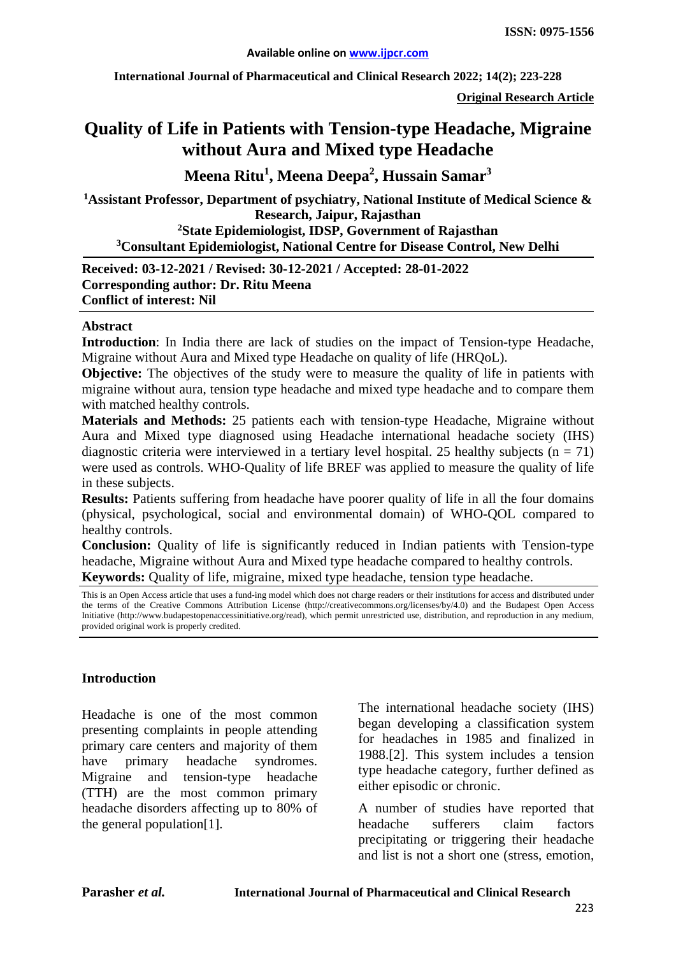**International Journal of Pharmaceutical and Clinical Research 2022; 14(2); 223-228**

**Original Research Article**

# **Quality of Life in Patients with Tension-type Headache, Migraine without Aura and Mixed type Headache**

**Meena Ritu1 , Meena Deepa<sup>2</sup> , Hussain Samar3**

**1 Assistant Professor, Department of psychiatry, National Institute of Medical Science & Research, Jaipur, Rajasthan 2State Epidemiologist, IDSP, Government of Rajasthan 3 Consultant Epidemiologist, National Centre for Disease Control, New Delhi**

**Received: 03-12-2021 / Revised: 30-12-2021 / Accepted: 28-01-2022 Corresponding author: Dr. Ritu Meena Conflict of interest: Nil**

#### **Abstract**

**Introduction**: In India there are lack of studies on the impact of Tension-type Headache, Migraine without Aura and Mixed type Headache on quality of life (HRQoL).

**Objective:** The objectives of the study were to measure the quality of life in patients with migraine without aura, tension type headache and mixed type headache and to compare them with matched healthy controls.

**Materials and Methods:** 25 patients each with tension-type Headache, Migraine without Aura and Mixed type diagnosed using Headache international headache society (IHS) diagnostic criteria were interviewed in a tertiary level hospital. 25 healthy subjects ( $n = 71$ ) were used as controls. WHO-Quality of life BREF was applied to measure the quality of life in these subjects.

**Results:** Patients suffering from headache have poorer quality of life in all the four domains (physical, psychological, social and environmental domain) of WHO-QOL compared to healthy controls.

**Conclusion:** Quality of life is significantly reduced in Indian patients with Tension-type headache, Migraine without Aura and Mixed type headache compared to healthy controls. **Keywords:** Quality of life, migraine, mixed type headache, tension type headache.

This is an Open Access article that uses a fund-ing model which does not charge readers or their institutions for access and distributed under the terms of the Creative Commons Attribution License (http://creativecommons.org/licenses/by/4.0) and the Budapest Open Access Initiative (http://www.budapestopenaccessinitiative.org/read), which permit unrestricted use, distribution, and reproduction in any medium, provided original work is properly credited.

# **Introduction**

Headache is one of the most common presenting complaints in people attending primary care centers and majority of them have primary headache syndromes. Migraine and tension-type headache (TTH) are the most common primary headache disorders affecting up to 80% of the general population[1].

The international headache society (IHS) began developing a classification system for headaches in 1985 and finalized in 1988.[2]. This system includes a tension type headache category, further defined as either episodic or chronic.

A number of studies have reported that headache sufferers claim factors precipitating or triggering their headache and list is not a short one (stress, emotion,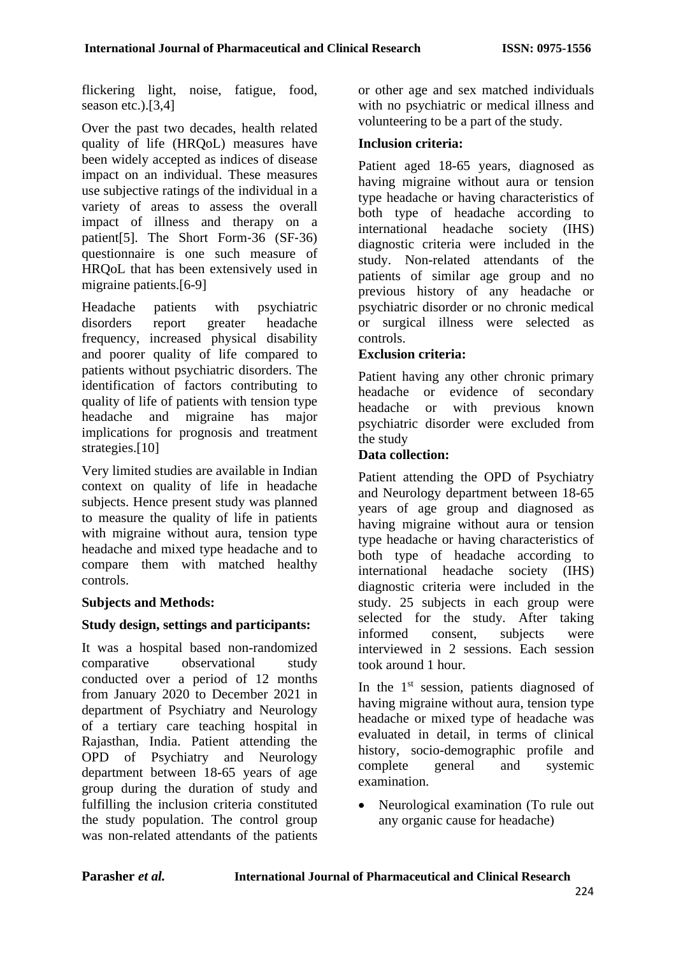flickering light, noise, fatigue, food, season etc.).[3,4]

Over the past two decades, health related quality of life (HRQoL) measures have been widely accepted as indices of disease impact on an individual. These measures use subjective ratings of the individual in a variety of areas to assess the overall impact of illness and therapy on a patient<sup>[5]</sup>. The Short Form-36 (SF-36) questionnaire is one such measure of HRQoL that has been extensively used in migraine patients.[6-9]

Headache patients with psychiatric disorders report greater headache frequency, increased physical disability and poorer quality of life compared to patients without psychiatric disorders. The identification of factors contributing to quality of life of patients with tension type headache and migraine has major implications for prognosis and treatment strategies.<sup>[10]</sup>

Very limited studies are available in Indian context on quality of life in headache subjects. Hence present study was planned to measure the quality of life in patients with migraine without aura, tension type headache and mixed type headache and to compare them with matched healthy controls.

# **Subjects and Methods:**

# **Study design, settings and participants:**

It was a hospital based non-randomized comparative observational study conducted over a period of 12 months from January 2020 to December 2021 in department of Psychiatry and Neurology of a tertiary care teaching hospital in Rajasthan, India. Patient attending the OPD of Psychiatry and Neurology department between 18-65 years of age group during the duration of study and fulfilling the inclusion criteria constituted the study population. The control group was non-related attendants of the patients or other age and sex matched individuals with no psychiatric or medical illness and volunteering to be a part of the study.

### **Inclusion criteria:**

Patient aged 18-65 years, diagnosed as having migraine without aura or tension type headache or having characteristics of both type of headache according to international headache society (IHS) diagnostic criteria were included in the study. Non-related attendants of the patients of similar age group and no previous history of any headache or psychiatric disorder or no chronic medical or surgical illness were selected as controls.

# **Exclusion criteria:**

Patient having any other chronic primary headache or evidence of secondary headache or with previous known psychiatric disorder were excluded from the study

### **Data collection:**

Patient attending the OPD of Psychiatry and Neurology department between 18-65 years of age group and diagnosed as having migraine without aura or tension type headache or having characteristics of both type of headache according to international headache society (IHS) diagnostic criteria were included in the study. 25 subjects in each group were selected for the study. After taking informed consent, subjects were interviewed in 2 sessions. Each session took around 1 hour.

In the  $1<sup>st</sup>$  session, patients diagnosed of having migraine without aura, tension type headache or mixed type of headache was evaluated in detail, in terms of clinical history, socio-demographic profile and complete general and systemic examination.

• Neurological examination (To rule out any organic cause for headache)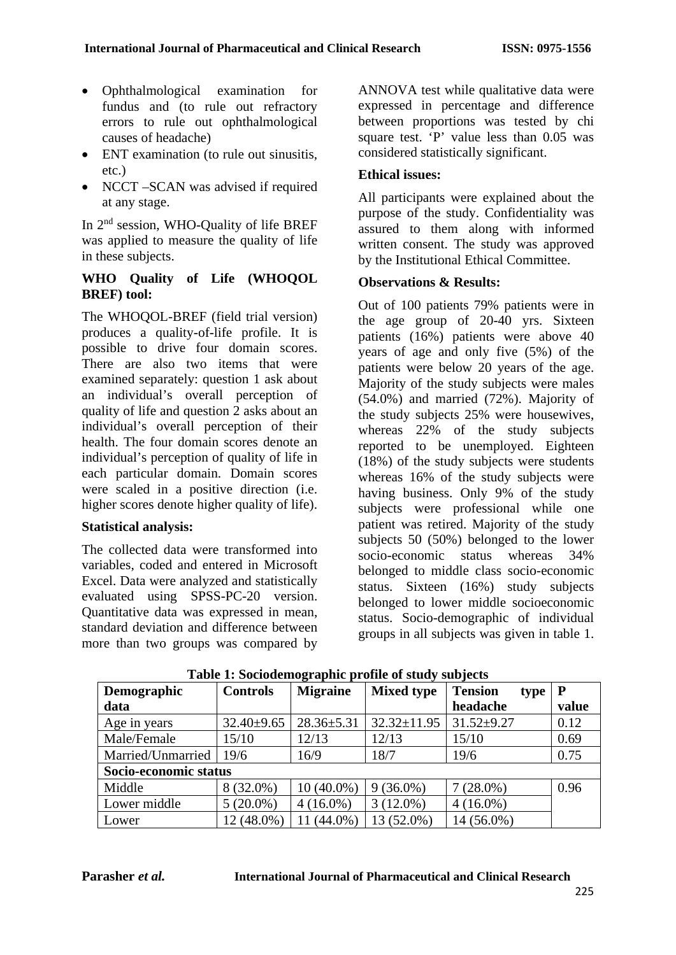- Ophthalmological examination for fundus and (to rule out refractory errors to rule out ophthalmological causes of headache)
- ENT examination (to rule out sinusitis, etc.)
- NCCT –SCAN was advised if required at any stage.

In 2nd session, WHO-Quality of life BREF was applied to measure the quality of life in these subjects.

#### **WHO Quality of Life (WHOQOL BREF) tool:**

The WHOQOL-BREF (field trial version) produces a quality-of-life profile. It is possible to drive four domain scores. There are also two items that were examined separately: question 1 ask about an individual's overall perception of quality of life and question 2 asks about an individual's overall perception of their health. The four domain scores denote an individual's perception of quality of life in each particular domain. Domain scores were scaled in a positive direction (i.e. higher scores denote higher quality of life).

#### **Statistical analysis:**

The collected data were transformed into variables, coded and entered in Microsoft Excel. Data were analyzed and statistically evaluated using SPSS-PC-20 version. Quantitative data was expressed in mean, standard deviation and difference between more than two groups was compared by

ANNOVA test while qualitative data were expressed in percentage and difference between proportions was tested by chi square test. 'P' value less than  $0.05$  was considered statistically significant.

### **Ethical issues:**

All participants were explained about the purpose of the study. Confidentiality was assured to them along with informed written consent. The study was approved by the Institutional Ethical Committee.

### **Observations & Results:**

Out of 100 patients 79% patients were in the age group of 20-40 yrs. Sixteen patients (16%) patients were above 40 years of age and only five (5%) of the patients were below 20 years of the age. Majority of the study subjects were males (54.0%) and married (72%). Majority of the study subjects 25% were housewives, whereas 22% of the study subjects reported to be unemployed. Eighteen (18%) of the study subjects were students whereas 16% of the study subjects were having business. Only 9% of the study subjects were professional while one patient was retired. Majority of the study subjects 50 (50%) belonged to the lower socio-economic status whereas 34% belonged to middle class socio-economic status. Sixteen (16%) study subjects belonged to lower middle socioeconomic status. Socio-demographic of individual groups in all subjects was given in table 1.

| Demographic           | <b>Controls</b>  | <b>Migraine</b>  | <b>Mixed type</b> | <b>Tension</b><br>type | P     |  |  |  |
|-----------------------|------------------|------------------|-------------------|------------------------|-------|--|--|--|
| data                  |                  |                  |                   | headache               | value |  |  |  |
| Age in years          | $32.40 \pm 9.65$ | $28.36 \pm 5.31$ | $32.32 \pm 11.95$ | $31.52 \pm 9.27$       | 0.12  |  |  |  |
| Male/Female           | 15/10            | 12/13            | 12/13             | 15/10                  | 0.69  |  |  |  |
| Married/Unmarried     | 19/6             | 16/9             | 18/7              | 19/6                   | 0.75  |  |  |  |
| Socio-economic status |                  |                  |                   |                        |       |  |  |  |
| Middle                | 8 (32.0%)        | $10(40.0\%)$     | $9(36.0\%)$       | $7(28.0\%)$            | 0.96  |  |  |  |
| Lower middle          | $5(20.0\%)$      | $4(16.0\%)$      | $3(12.0\%)$       | $4(16.0\%)$            |       |  |  |  |
| Lower                 | 12 (48.0%)       | $(44.0\%)$       | 13 (52.0%)        | 14 (56.0%)             |       |  |  |  |

**Table 1: Sociodemographic profile of study subjects**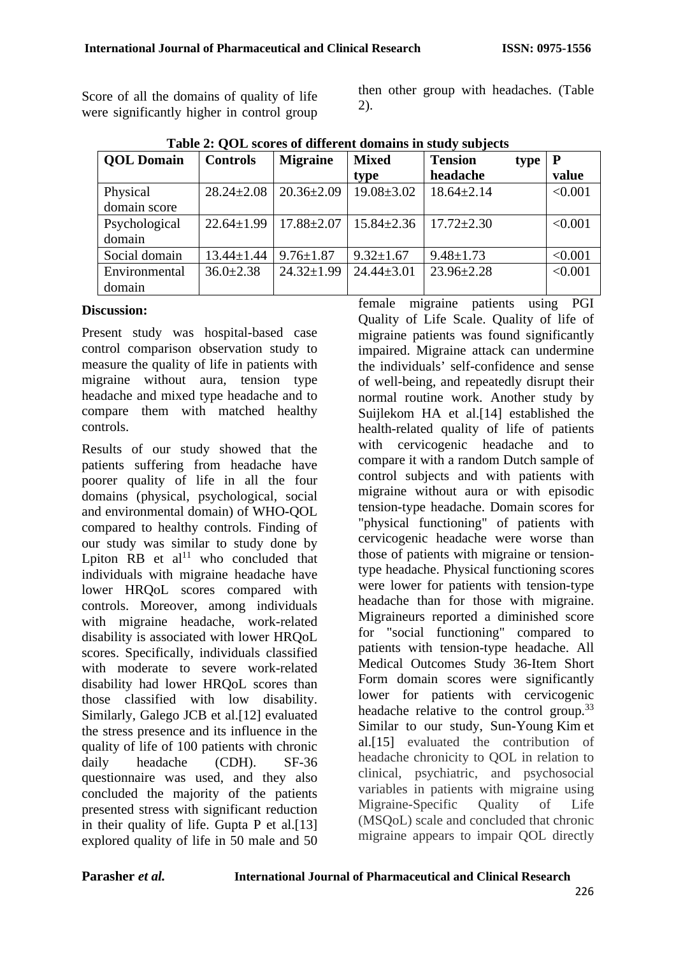Score of all the domains of quality of life were significantly higher in control group then other group with headaches. (Table 2).

| <b>QOL</b> Domain        | <b>Controls</b>  | <b>Migraine</b>  | <b>Mixed</b>     | <b>Tension</b><br>type | $\mathbf{P}$ |
|--------------------------|------------------|------------------|------------------|------------------------|--------------|
|                          |                  |                  | type             | headache               | value        |
| Physical<br>domain score | $28.24 \pm 2.08$ | $20.36 \pm 2.09$ | $19.08 \pm 3.02$ | $18.64 \pm 2.14$       | < 0.001      |
| Psychological<br>domain  | $22.64 \pm 1.99$ | $17.88 \pm 2.07$ | $15.84 \pm 2.36$ | $17.72 \pm 2.30$       | < 0.001      |
| Social domain            | $13.44 \pm 1.44$ | $9.76 \pm 1.87$  | $9.32 \pm 1.67$  | $9.48 \pm 1.73$        | < 0.001      |
| Environmental<br>domain  | $36.0 \pm 2.38$  | $24.32 \pm 1.99$ | $24.44 \pm 3.01$ | $23.96 \pm 2.28$       | < 0.001      |

**Table 2: QOL scores of different domains in study subjects**

# **Discussion:**

Present study was hospital-based case control comparison observation study to measure the quality of life in patients with migraine without aura, tension type headache and mixed type headache and to compare them with matched healthy controls.

Results of our study showed that the patients suffering from headache have poorer quality of life in all the four domains (physical, psychological, social and environmental domain) of WHO-QOL compared to healthy controls. Finding of our study was similar to study done by Lpiton  $RB$  et al<sup>11</sup> who concluded that individuals with migraine headache have lower HRQoL scores compared with controls. Moreover, among individuals with migraine headache, work-related disability is associated with lower HRQoL scores. Specifically, individuals classified with moderate to severe work-related disability had lower HRQoL scores than those classified with low disability. Similarly, Galego JCB et al.[12] evaluated the stress presence and its influence in the quality of life of 100 patients with chronic daily headache (CDH). SF-36 questionnaire was used, and they also concluded the majority of the patients presented stress with significant reduction in their quality of life. Gupta P et al.[13] explored quality of life in 50 male and 50 female migraine patients using PGI Quality of Life Scale. Quality of life of migraine patients was found significantly impaired. Migraine attack can undermine the individuals' self-confidence and sense of well-being, and repeatedly disrupt their normal routine work. Another study by Suijlekom HA et al.[14] established the health-related quality of life of patients with cervicogenic headache and to compare it with a random Dutch sample of control subjects and with patients with migraine without aura or with episodic tension-type headache. Domain scores for "physical functioning" of patients with cervicogenic headache were worse than those of patients with migraine or tensiontype headache. Physical functioning scores were lower for patients with tension-type headache than for those with migraine. Migraineurs reported a diminished score for "social functioning" compared to patients with tension-type headache. All Medical Outcomes Study 36-Item Short Form domain scores were significantly lower for patients with cervicogenic headache relative to the control group.<sup>33</sup> Similar to our study, Sun-Young Kim et al.[15] evaluated the contribution of headache chronicity to QOL in relation to clinical, psychiatric, and psychosocial variables in patients with migraine using Migraine-Specific Quality of Life (MSQoL) scale and concluded that chronic migraine appears to impair QOL directly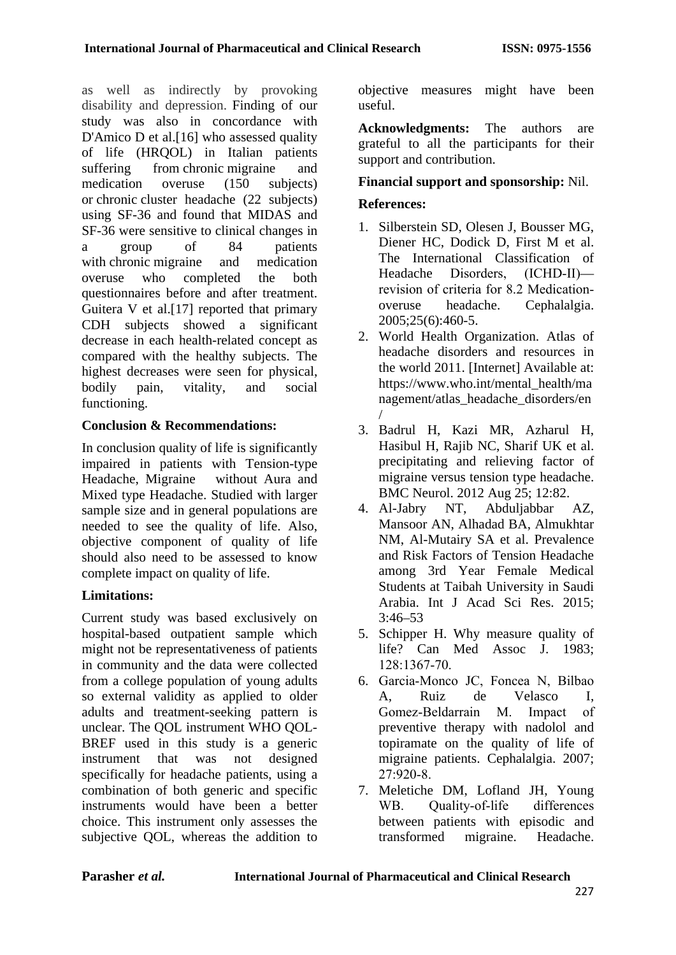as well as indirectly by provoking disability and depression. Finding of our study was also in concordance with [D'Amico D](http://www.ncbi.nlm.nih.gov/pubmed/?term=D%27Amico%20D%5BAuthor%5D&cauthor=true&cauthor_uid=12811603) et al.<sup>[16]</sup> who assessed quality of life (HRQOL) in Italian patients suffering from chronic migraine and medication overuse (150 subjects) or chronic cluster headache (22 subjects) using SF-36 and found that MIDAS and SF-36 were sensitive to clinical changes in a group of 84 patients with chronic migraine and medication overuse who completed the both questionnaires before and after treatment. Guitera V et al.[17] reported that primary CDH subjects showed a significant decrease in each health-related concept as compared with the healthy subjects. The highest decreases were seen for physical, bodily pain, vitality, and social functioning.

# **Conclusion & Recommendations:**

In conclusion quality of life is significantly impaired in patients with Tension-type Headache, Migraine without Aura and Mixed type Headache. Studied with larger sample size and in general populations are needed to see the quality of life. Also, objective component of quality of life should also need to be assessed to know complete impact on quality of life.

# **Limitations:**

Current study was based exclusively on hospital-based outpatient sample which might not be representativeness of patients in community and the data were collected from a college population of young adults so external validity as applied to older adults and treatment-seeking pattern is unclear. The QOL instrument WHO QOL-BREF used in this study is a generic instrument that was not designed specifically for headache patients, using a combination of both generic and specific instruments would have been a better choice. This instrument only assesses the subjective QOL, whereas the addition to objective measures might have been useful.

**Acknowledgments:** The authors are grateful to all the participants for their support and contribution.

# **Financial support and sponsorship:** Nil.

# **References:**

- 1. Silberstein SD, Olesen J, Bousser MG, Diener HC, Dodick D, First M et al. The International Classification of Headache Disorders, (ICHD‐II) revision of criteria for 8.2 Medication‐ overuse headache. Cephalalgia. 2005;25(6):460-5.
- 2. World Health Organization. Atlas of headache disorders and resources in the world 2011. [Internet] Available at: [https://www.who.int/mental\\_health/ma](https://www.who.int/mental_health/management/atlas_headache_disorders/en/) [nagement/atlas\\_headache\\_disorders/en](https://www.who.int/mental_health/management/atlas_headache_disorders/en/) [/](https://www.who.int/mental_health/management/atlas_headache_disorders/en/)
- 3. Badrul H, Kazi MR, Azharul H, Hasibul H, Rajib NC, Sharif UK et al. precipitating and relieving factor of migraine versus tension type headache. BMC Neurol. 2012 Aug 25; 12:82.
- 4. Al-Jabry NT, Abduljabbar AZ, Mansoor AN, Alhadad BA, Almukhtar NM, Al-Mutairy SA et al. Prevalence and Risk Factors of Tension Headache among 3rd Year Female Medical Students at Taibah University in Saudi Arabia. Int J Acad Sci Res. 2015; 3:46–53
- 5. Schipper H. Why measure quality of life? Can Med Assoc J. 1983; 128:1367‑70.
- 6. Garcia‑Monco JC, Foncea N, Bilbao A, Ruiz de Velasco I, Gomez‑Beldarrain M. Impact of preventive therapy with nadolol and topiramate on the quality of life of migraine patients. Cephalalgia. 2007; 27:920‑8.
- 7. Meletiche DM, Lofland JH, Young WB. Quality-of-life differences between patients with episodic and transformed migraine. Headache.